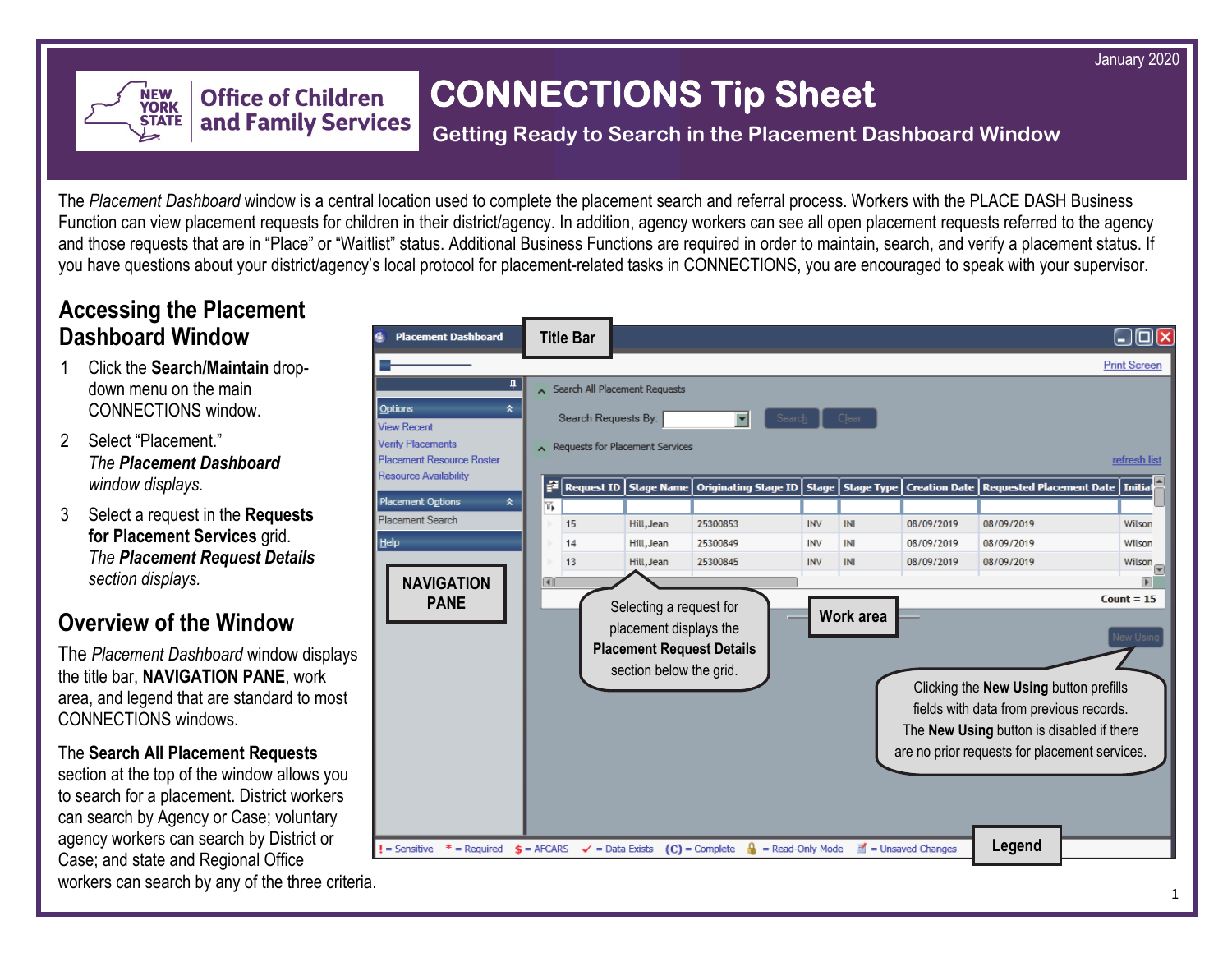January 2020



# **CONNECTIONS Tip Sheet**

### **Getting Ready to Search in the Placement Dashboard Window**

The *Placement Dashboard* window is a central location used to complete the placement search and referral process. Workers with the PLACE DASH Business Function can view placement requests for children in their district/agency. In addition, agency workers can see all open placement requests referred to the agency and those requests that are in "Place" or "Waitlist" status. Additional Business Functions are required in order to maintain, search, and verify a placement status. If you have questions about your district/agency's local protocol for placement-related tasks in CONNECTIONS, you are encouraged to speak with your supervisor.

## **Accessing the Placement Dashboard Window**

- 1 Click the **Search/Maintain** dropdown menu on the main CONNECTIONS window.
- 2 Select "Placement." *The Placement Dashboard window displays.*
- 3 Select a request in the **Requests for Placement Services** grid. *The Placement Request Details section displays.*

# **Overview of the Window**

The *Placement Dashboard* window displays the title bar, **NAVIGATION PANE**, work area, and legend that are standard to most CONNECTIONS windows.

The **Search All Placement Requests** 

section at the top of the window allows you to search for a placement. District workers can search by Agency or Case; voluntary agency workers can search by District or Case; and state and Regional Office workers can search by any of the three criteria.

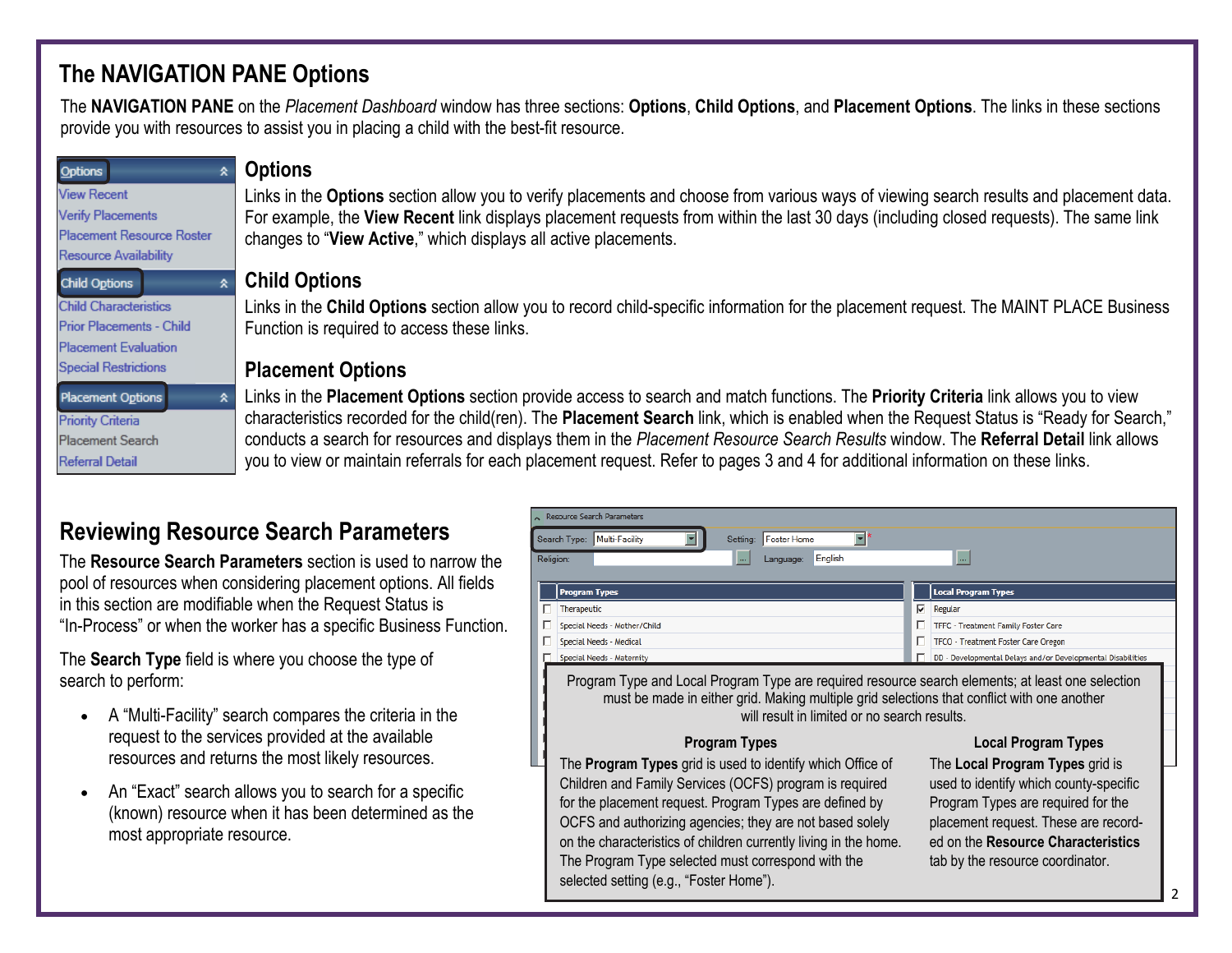# **The NAVIGATION PANE Options**

The **NAVIGATION PANE** on the *Placement Dashboard* window has three sections: **Options**, **Child Options**, and **Placement Options**. The links in these sections provide you with resources to assist you in placing a child with the best-fit resource.

| Options                      | <b>Options</b>                                                                                                                          |
|------------------------------|-----------------------------------------------------------------------------------------------------------------------------------------|
| <b>View Recent</b>           | Links in the Options section allow you to verify placements and choose from various ways of viewing search results and placement data.  |
| Verify Placements            | For example, the View Recent link displays placement requests from within the last 30 days (including closed requests). The same link   |
| Placement Resource Roster    | changes to "View Active," which displays all active placements.                                                                         |
| Resource Availability        |                                                                                                                                         |
| Child Options                | <b>Child Options</b>                                                                                                                    |
| <b>Child Characteristics</b> | Links in the Child Options section allow you to record child-specific information for the placement request. The MAINT PLACE Business   |
| Prior Placements - Child     | Function is required to access these links.                                                                                             |
| <b>Placement Evaluation</b>  |                                                                                                                                         |
| <b>Special Restrictions</b>  | <b>Placement Options</b>                                                                                                                |
| <b>Placement Options</b>     | Links in the Placement Options section provide access to search and match functions. The Priority Criteria link allows you to view      |
| <b>Priority Criteria</b>     | characteristics recorded for the child(ren). The Placement Search link, which is enabled when the Request Status is "Ready for Search," |
| <b>Placement Search</b>      | conducts a search for resources and displays them in the Placement Resource Search Results window. The Referral Detail link allows      |
| <b>Referral Detail</b>       | you to view or maintain referrals for each placement request. Refer to pages 3 and 4 for additional information on these links.         |
|                              |                                                                                                                                         |

# **Reviewing Resource Search Parameters**

The **Resource Search Parameters** section is used to narrow the pool of resources when considering placement options. All fields in this section are modifiable when the Request Status is "In-Process" or when the worker has a specific Business Function.

The **Search Type** field is where you choose the type of search to perform:

- A "Multi-Facility" search compares the criteria in the request to the services provided at the available resources and returns the most likely resources.
- An "Exact" search allows you to search for a specific (known) resource when it has been determined as the most appropriate resource.

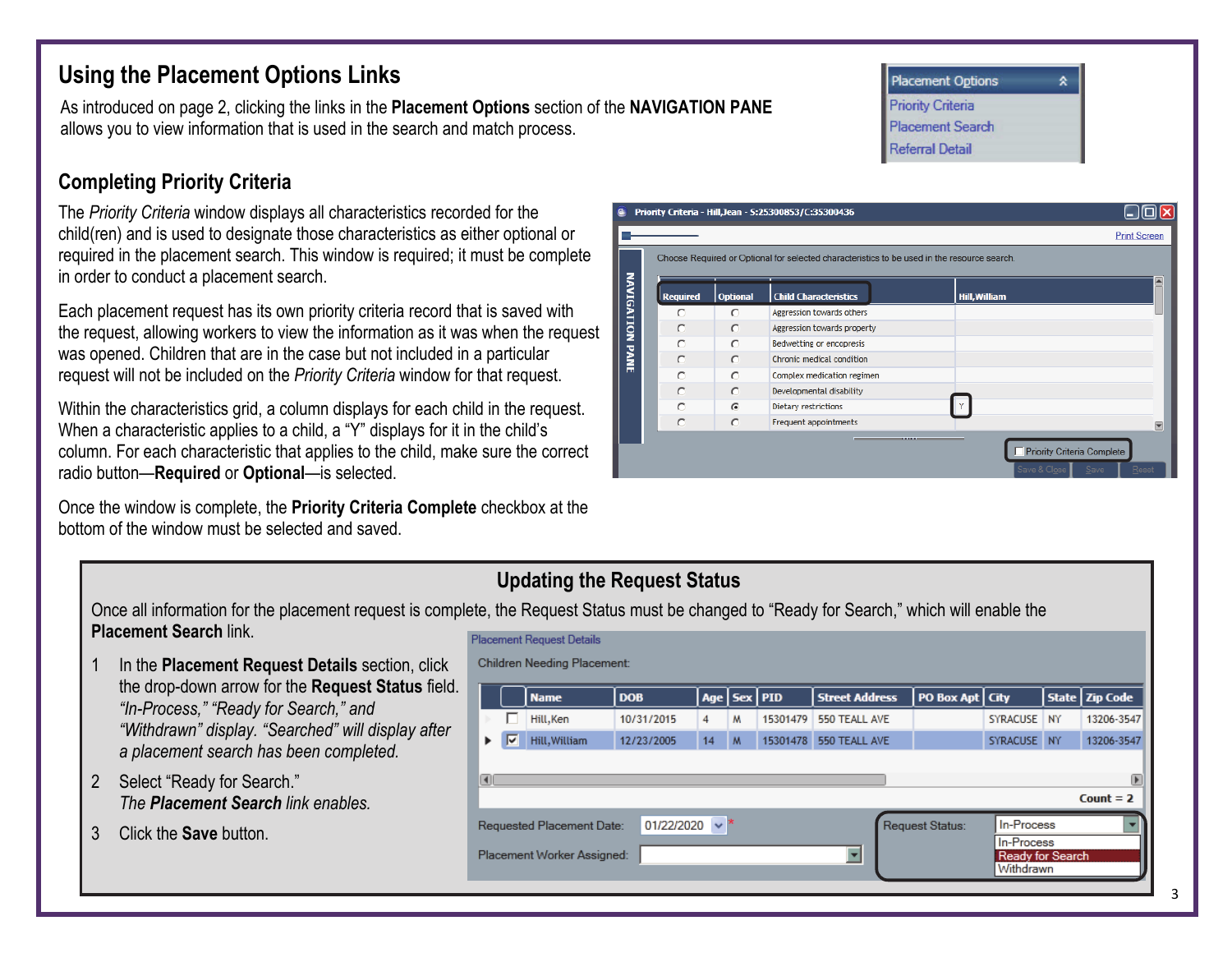## **Using the Placement Options Links**

As introduced on page 2, clicking the links in the **Placement Options** section of the **NAVIGATION PANE**  allows you to view information that is used in the search and match process.

## **Completing Priority Criteria**

The *Priority Criteria* window displays all characteristics recorded for the child(ren) and is used to designate those characteristics as either optional or required in the placement search. This window is required; it must be complete in order to conduct a placement search.

Each placement request has its own priority criteria record that is saved with the request, allowing workers to view the information as it was when the request was opened. Children that are in the case but not included in a particular request will not be included on the *Priority Criteria* window for that request.

Within the characteristics grid, a column displays for each child in the request. When a characteristic applies to a child, a "Y" displays for it in the child's column. For each characteristic that applies to the child, make sure the correct radio button—**Required** or **Optional**—is selected.

Once the window is complete, the **Priority Criteria Complete** checkbox at the bottom of the window must be selected and saved.

| 4                      |                 |                 | Priority Criteria - Hill, Jean - S: 25300853/C: 35300436                                    | <b>Print Screen</b>                                         |
|------------------------|-----------------|-----------------|---------------------------------------------------------------------------------------------|-------------------------------------------------------------|
|                        |                 |                 | Choose Required or Optional for selected characteristics to be used in the resource search. |                                                             |
| <b>NAVIGATION PANE</b> | <b>Required</b> | <b>Optional</b> | <b>Child Characteristics</b>                                                                | <b>Hill, William</b>                                        |
|                        | $\subset$       | $\circ$         | Aggression towards others                                                                   |                                                             |
|                        | C               | $\circ$         | Aggression towards property                                                                 |                                                             |
|                        | O               | $\bigcap$       | Bedwetting or encopresis                                                                    |                                                             |
|                        | O               | $\circ$         | Chronic medical condition                                                                   |                                                             |
|                        | C               | $\cap$          | Complex medication regimen                                                                  |                                                             |
|                        | $\cup$          | $\cap$          | Developmental disability                                                                    |                                                             |
|                        | C               | $\epsilon$      | Dietary restrictions                                                                        |                                                             |
|                        | C               | $\circ$         | Frequent appointments                                                                       | $\overline{\phantom{a}}$                                    |
|                        |                 |                 | ----                                                                                        | Priority Criteria Complete<br>Save & Close<br>Reset<br>Save |

#### **Updating the Request Status**

Once all information for the placement request is complete, the Request Status must be changed to "Ready for Search," which will enable the **Placement Search** link.

- In the **Placement Request Details** section, click the drop-down arrow for the **Request Status** field. *"In-Process," "Ready for Search," and "Withdrawn" display. "Searched" will display after a placement search has been completed.*
- 2 Select "Ready for Search." *The Placement Search link enables.*
- 3 Click the **Save** button.

| <b>Placement Request Details</b>                                                                       |   |               |            |    |                 |          |                       |                   |             |  |                  |
|--------------------------------------------------------------------------------------------------------|---|---------------|------------|----|-----------------|----------|-----------------------|-------------------|-------------|--|------------------|
| Children Needing Placement:                                                                            |   |               |            |    |                 |          |                       |                   |             |  |                  |
|                                                                                                        |   | <b>Name</b>   | <b>DOB</b> |    | Age   Sex   PID |          | <b>Street Address</b> | PO Box Apt   City |             |  | State   Zip Code |
|                                                                                                        |   | Hill, Ken     | 10/31/2015 | 4  | м               | 15301479 | 550 TEALL AVE         |                   | SYRACUSE NY |  | 13206-3547       |
|                                                                                                        | ⊽ | Hill, William | 12/23/2005 | 14 | M               | 15301478 | 550 TEALL AVE         |                   | SYRACUSE NY |  | 13206-3547       |
| $\Box$<br>⊪<br>Count $= 2$                                                                             |   |               |            |    |                 |          |                       |                   |             |  |                  |
| In-Process<br>$\checkmark$<br>01/22/2020<br>Request Status:<br>Requested Placement Date:<br>In-Process |   |               |            |    |                 |          |                       |                   |             |  |                  |
| Placement Worker Assigned:<br><b>Ready for Search</b><br>Withdrawn                                     |   |               |            |    |                 |          |                       |                   |             |  |                  |